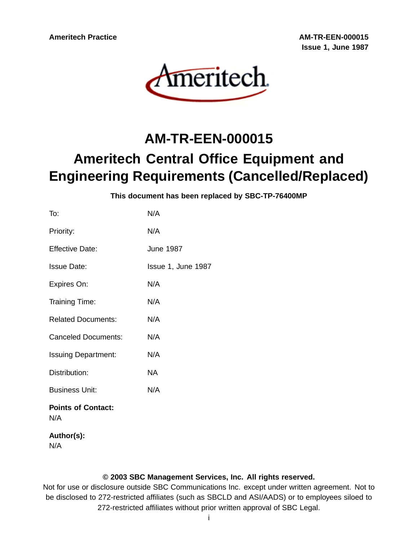**Ameritech Practice AM-TR-EEN-000015 Issue 1, June 1987**



# **AM-TR-EEN-000015 Ameritech Central Office Equipment and Engineering Requirements (Cancelled/Replaced)**

**This document has been replaced by SBC-TP-76400MP**

| To:                              | N/A                |
|----------------------------------|--------------------|
| Priority:                        | N/A                |
| <b>Effective Date:</b>           | <b>June 1987</b>   |
| <b>Issue Date:</b>               | Issue 1, June 1987 |
| Expires On:                      | N/A                |
| Training Time:                   | N/A                |
| <b>Related Documents:</b>        | N/A                |
| <b>Canceled Documents:</b>       | N/A                |
| <b>Issuing Department:</b>       | N/A                |
| Distribution:                    | NA                 |
| <b>Business Unit:</b>            | N/A                |
| <b>Points of Contact:</b><br>N/A |                    |
| Author(s):                       |                    |

N/A

#### **© 2003 SBC Management Services, Inc. All rights reserved.**

Not for use or disclosure outside SBC Communications Inc. except under written agreement. Not to be disclosed to 272-restricted affiliates (such as SBCLD and ASI/AADS) or to employees siloed to 272-restricted affiliates without prior written approval of SBC Legal.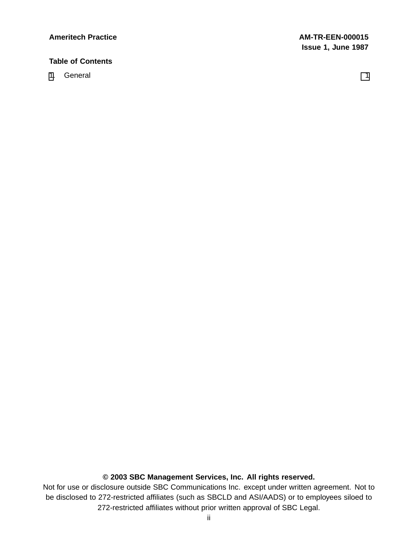#### **Ameritech Practice AM-TR-EEN-000015**

# **Table of Contents**

[1](#page-2-0). General 1. Seneral 1. The seneral contract of the seneral 1. The seneral contract of the seneral 1.

# **© 2003 SBC Management Services, Inc. All rights reserved.**

Not for use or disclosure outside SBC Communications Inc. except under written agreement. Not to be disclosed to 272-restricted affiliates (such as SBCLD and ASI/AADS) or to employees siloed to 272-restricted affiliates without prior written approval of SBC Legal.